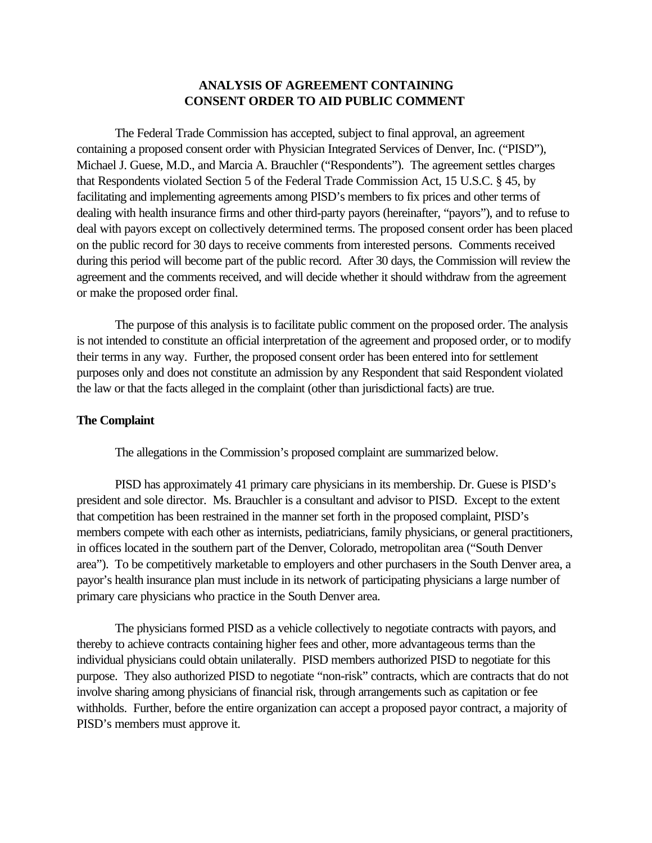## **ANALYSIS OF AGREEMENT CONTAINING CONSENT ORDER TO AID PUBLIC COMMENT**

The Federal Trade Commission has accepted, subject to final approval, an agreement containing a proposed consent order with Physician Integrated Services of Denver, Inc. ("PISD"), Michael J. Guese, M.D., and Marcia A. Brauchler ("Respondents"). The agreement settles charges that Respondents violated Section 5 of the Federal Trade Commission Act, 15 U.S.C. § 45, by facilitating and implementing agreements among PISD's members to fix prices and other terms of dealing with health insurance firms and other third-party payors (hereinafter, "payors"), and to refuse to deal with payors except on collectively determined terms. The proposed consent order has been placed on the public record for 30 days to receive comments from interested persons. Comments received during this period will become part of the public record. After 30 days, the Commission will review the agreement and the comments received, and will decide whether it should withdraw from the agreement or make the proposed order final.

The purpose of this analysis is to facilitate public comment on the proposed order. The analysis is not intended to constitute an official interpretation of the agreement and proposed order, or to modify their terms in any way. Further, the proposed consent order has been entered into for settlement purposes only and does not constitute an admission by any Respondent that said Respondent violated the law or that the facts alleged in the complaint (other than jurisdictional facts) are true.

## **The Complaint**

The allegations in the Commission's proposed complaint are summarized below.

PISD has approximately 41 primary care physicians in its membership. Dr. Guese is PISD's president and sole director. Ms. Brauchler is a consultant and advisor to PISD. Except to the extent that competition has been restrained in the manner set forth in the proposed complaint, PISD's members compete with each other as internists, pediatricians, family physicians, or general practitioners, in offices located in the southern part of the Denver, Colorado, metropolitan area ("South Denver area"). To be competitively marketable to employers and other purchasers in the South Denver area, a payor's health insurance plan must include in its network of participating physicians a large number of primary care physicians who practice in the South Denver area.

The physicians formed PISD as a vehicle collectively to negotiate contracts with payors, and thereby to achieve contracts containing higher fees and other, more advantageous terms than the individual physicians could obtain unilaterally. PISD members authorized PISD to negotiate for this purpose. They also authorized PISD to negotiate "non-risk" contracts, which are contracts that do not involve sharing among physicians of financial risk, through arrangements such as capitation or fee withholds. Further, before the entire organization can accept a proposed payor contract, a majority of PISD's members must approve it.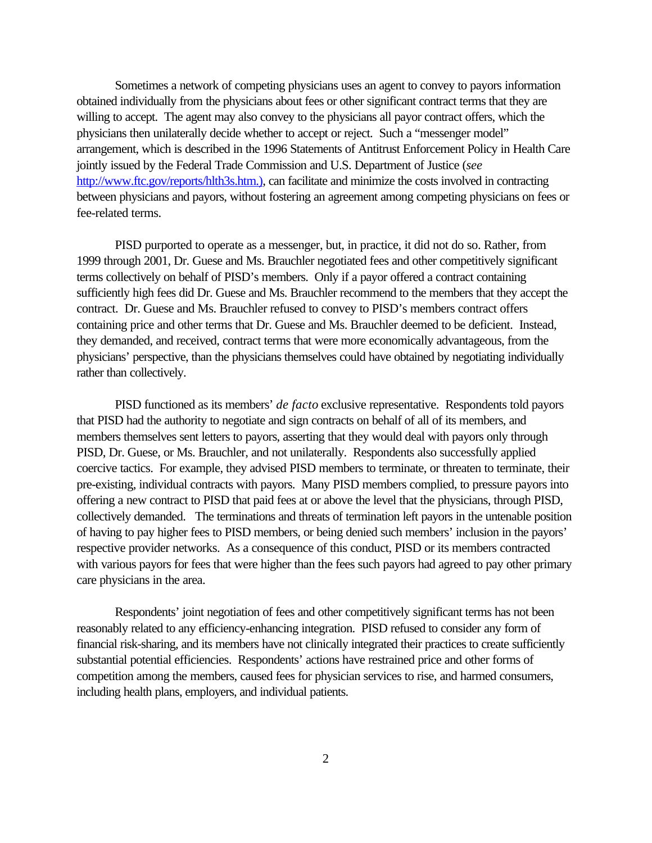Sometimes a network of competing physicians uses an agent to convey to payors information obtained individually from the physicians about fees or other significant contract terms that they are willing to accept. The agent may also convey to the physicians all payor contract offers, which the physicians then unilaterally decide whether to accept or reject. Such a "messenger model" arrangement, which is described in the 1996 Statements of Antitrust Enforcement Policy in Health Care jointly issued by the Federal Trade Commission and U.S. Department of Justice (*see* http://www.ftc.gov/reports/hlth3s.htm.), can facilitate and minimize the costs involved in contracting between physicians and payors, without fostering an agreement among competing physicians on fees or fee-related terms.

PISD purported to operate as a messenger, but, in practice, it did not do so. Rather, from 1999 through 2001, Dr. Guese and Ms. Brauchler negotiated fees and other competitively significant terms collectively on behalf of PISD's members. Only if a payor offered a contract containing sufficiently high fees did Dr. Guese and Ms. Brauchler recommend to the members that they accept the contract. Dr. Guese and Ms. Brauchler refused to convey to PISD's members contract offers containing price and other terms that Dr. Guese and Ms. Brauchler deemed to be deficient. Instead, they demanded, and received, contract terms that were more economically advantageous, from the physicians' perspective, than the physicians themselves could have obtained by negotiating individually rather than collectively.

PISD functioned as its members' *de facto* exclusive representative. Respondents told payors that PISD had the authority to negotiate and sign contracts on behalf of all of its members, and members themselves sent letters to payors, asserting that they would deal with payors only through PISD, Dr. Guese, or Ms. Brauchler, and not unilaterally. Respondents also successfully applied coercive tactics. For example, they advised PISD members to terminate, or threaten to terminate, their pre-existing, individual contracts with payors. Many PISD members complied, to pressure payors into offering a new contract to PISD that paid fees at or above the level that the physicians, through PISD, collectively demanded. The terminations and threats of termination left payors in the untenable position of having to pay higher fees to PISD members, or being denied such members' inclusion in the payors' respective provider networks. As a consequence of this conduct, PISD or its members contracted with various payors for fees that were higher than the fees such payors had agreed to pay other primary care physicians in the area.

Respondents' joint negotiation of fees and other competitively significant terms has not been reasonably related to any efficiency-enhancing integration. PISD refused to consider any form of financial risk-sharing, and its members have not clinically integrated their practices to create sufficiently substantial potential efficiencies. Respondents' actions have restrained price and other forms of competition among the members, caused fees for physician services to rise, and harmed consumers, including health plans, employers, and individual patients.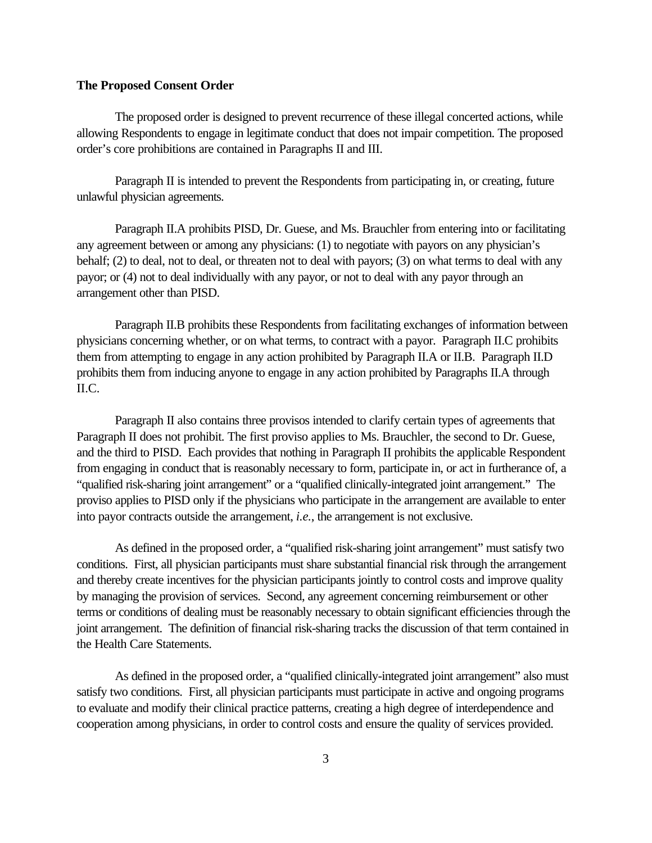## **The Proposed Consent Order**

The proposed order is designed to prevent recurrence of these illegal concerted actions, while allowing Respondents to engage in legitimate conduct that does not impair competition. The proposed order's core prohibitions are contained in Paragraphs II and III.

Paragraph II is intended to prevent the Respondents from participating in, or creating, future unlawful physician agreements.

Paragraph II.A prohibits PISD, Dr. Guese, and Ms. Brauchler from entering into or facilitating any agreement between or among any physicians: (1) to negotiate with payors on any physician's behalf; (2) to deal, not to deal, or threaten not to deal with payors; (3) on what terms to deal with any payor; or (4) not to deal individually with any payor, or not to deal with any payor through an arrangement other than PISD.

Paragraph II.B prohibits these Respondents from facilitating exchanges of information between physicians concerning whether, or on what terms, to contract with a payor. Paragraph II.C prohibits them from attempting to engage in any action prohibited by Paragraph II.A or II.B. Paragraph II.D prohibits them from inducing anyone to engage in any action prohibited by Paragraphs II.A through II.C.

Paragraph II also contains three provisos intended to clarify certain types of agreements that Paragraph II does not prohibit. The first proviso applies to Ms. Brauchler, the second to Dr. Guese, and the third to PISD. Each provides that nothing in Paragraph II prohibits the applicable Respondent from engaging in conduct that is reasonably necessary to form, participate in, or act in furtherance of, a "qualified risk-sharing joint arrangement" or a "qualified clinically-integrated joint arrangement." The proviso applies to PISD only if the physicians who participate in the arrangement are available to enter into payor contracts outside the arrangement, *i.e.*, the arrangement is not exclusive.

As defined in the proposed order, a "qualified risk-sharing joint arrangement" must satisfy two conditions. First, all physician participants must share substantial financial risk through the arrangement and thereby create incentives for the physician participants jointly to control costs and improve quality by managing the provision of services. Second, any agreement concerning reimbursement or other terms or conditions of dealing must be reasonably necessary to obtain significant efficiencies through the joint arrangement. The definition of financial risk-sharing tracks the discussion of that term contained in the Health Care Statements.

As defined in the proposed order, a "qualified clinically-integrated joint arrangement" also must satisfy two conditions. First, all physician participants must participate in active and ongoing programs to evaluate and modify their clinical practice patterns, creating a high degree of interdependence and cooperation among physicians, in order to control costs and ensure the quality of services provided.